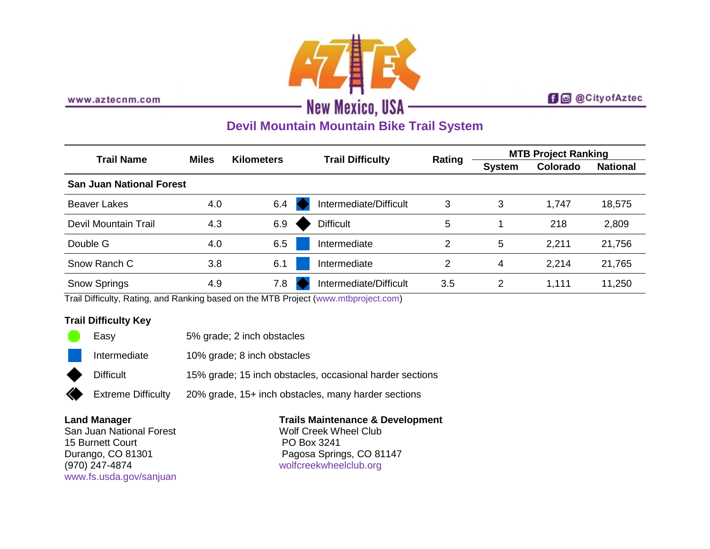

www.aztecnm.com

## **f d** @CityofAztec

# **Devil Mountain Mountain Bike Trail System**

| <b>Trail Name</b>               | <b>Miles</b> | <b>Kilometers</b> | <b>Trail Difficulty</b> | Rating | <b>MTB Project Ranking</b> |          |                 |
|---------------------------------|--------------|-------------------|-------------------------|--------|----------------------------|----------|-----------------|
|                                 |              |                   |                         |        | <b>System</b>              | Colorado | <b>National</b> |
| <b>San Juan National Forest</b> |              |                   |                         |        |                            |          |                 |
| <b>Beaver Lakes</b>             | 4.0          | 6.4               | Intermediate/Difficult  | 3      | 3                          | 1,747    | 18,575          |
| Devil Mountain Trail            | 4.3          | 6.9               | <b>Difficult</b>        | 5      |                            | 218      | 2,809           |
| Double G                        | 4.0          | 6.5               | Intermediate            | 2      | 5                          | 2,211    | 21,756          |
| Snow Ranch C                    | 3.8          | 6.1               | Intermediate            | 2      | 4                          | 2,214    | 21,765          |
| <b>Snow Springs</b>             | 4.9          | 7.8               | Intermediate/Difficult  | 3.5    | 2                          | 1,111    | 11,250          |

Trail Difficulty, Rating, and Ranking based on the MTB Project [\(www.mtbproject.com\)](http://www.mtbproject.com/)

### **Trail Difficulty Key**

C

∢

| Easy                      | 5% grade; 2 inch obstacles                               |
|---------------------------|----------------------------------------------------------|
| Intermediate              | 10% grade; 8 inch obstacles                              |
| <b>Difficult</b>          | 15% grade; 15 inch obstacles, occasional harder sections |
| <b>Extreme Difficulty</b> | 20% grade, 15+ inch obstacles, many harder sections      |

#### **Land Manager**

San Juan National Forest 15 Burnett Court Durango, CO 81301 (970) 247-4874 [www.fs.usda.gov/sanjuan](http://www.fs.usda.gov/sanjuan)

## **Trails Maintenance & Development**

Wolf Creek Wheel Club PO Box 3241 Pagosa Springs, CO 81147 [wolfcreekwheelclub.org](http://wolfcreekwheelclub.org/)